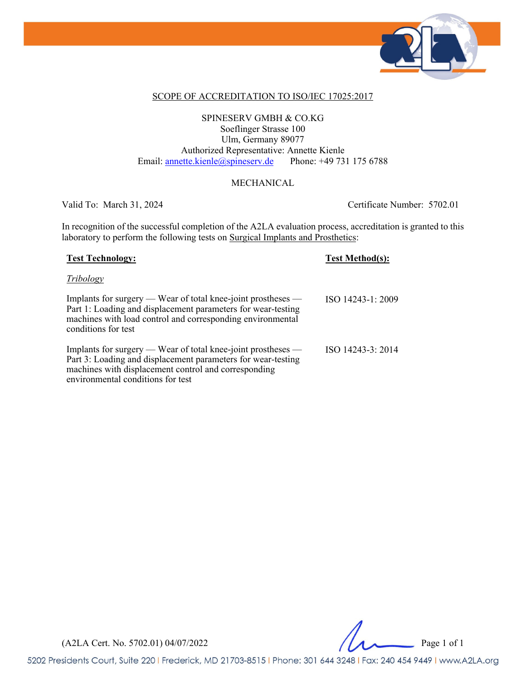

### SCOPE OF ACCREDITATION TO ISO/IEC 17025:2017

### SPINESERV GMBH & CO.KG Soeflinger Strasse 100 Ulm, Germany 89077 Authorized Representative: Annette Kienle Email: annette.kienle@spineserv.de Phone: +49 731 175 6788

### MECHANICAL

Valid To: March 31, 2024 Certificate Number: 5702.01

In recognition of the successful completion of the A2LA evaluation process, accreditation is granted to this laboratory to perform the following tests on Surgical Implants and Prosthetics:

| <b>Test Technology:</b>                                                                                                                                                                                                   | <b>Test Method(s):</b> |
|---------------------------------------------------------------------------------------------------------------------------------------------------------------------------------------------------------------------------|------------------------|
| Tribology                                                                                                                                                                                                                 |                        |
| Implants for surgery $-$ Wear of total knee-joint prostheses $-$<br>Part 1: Loading and displacement parameters for wear-testing<br>machines with load control and corresponding environmental<br>conditions for test     | ISO 14243-1: 2009      |
| Implants for surgery — Wear of total knee-joint prostheses —<br>Part 3: Loading and displacement parameters for wear-testing<br>machines with displacement control and corresponding<br>environmental conditions for test | ISO 14243-3: 2014      |

(A2LA Cert. No. 5702.01) 04/07/2022 Page 1 of 1

5202 Presidents Court, Suite 220 | Frederick, MD 21703-8515 | Phone: 301 644 3248 | Fax: 240 454 9449 | www.A2LA.org